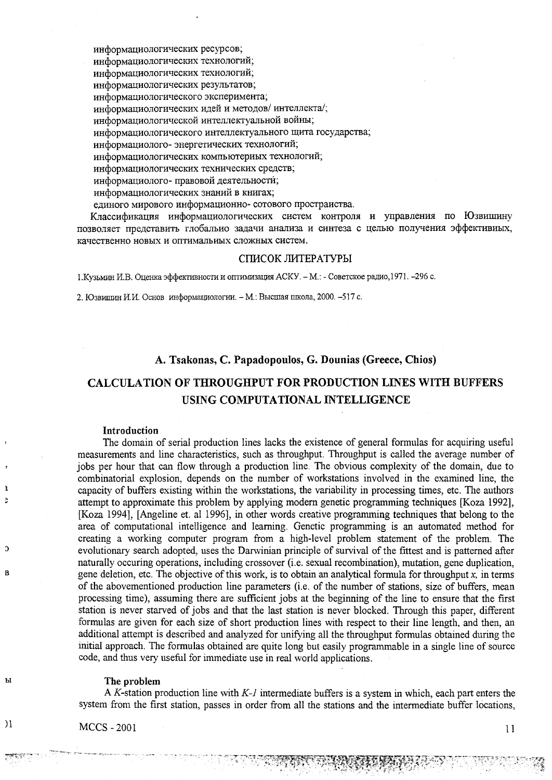информациологических ресурсов; информациологических технологий; информациологических технологий; информациологических результатов; информациологического эксперимента; информациологических идей и методов/интеллекта/; информациологической интеллектуальной войны; информациологического интеллектуального щита государства; информациолого-энергетических технологий; информациологических компьютериых технологий; информациологических технических средств; информациолого-правовой деятельности; информациологических знаний в книгах;

единого мирового информационно- сотового простраиства.

Классификация информациологических систем контроля и управления по Юзвишину позволяет представить глобально задачи анализа и синтеза с целью получения эффективиых, качественно новых и оптимальиых сложных систем.

#### СПИСОК ЛИТЕРАТУРЫ

1. Кузьмин И.В. Оценка эффективности и оптимизация АСКУ. - М.: - Советское радио, 1971. - 296 с.

2. Юзвишин И.И. Основ информациологии. - М.: Высшая школа, 2000. -517 с.

## A. Tsakonas, C. Papadopoulos, G. Dounias (Greece, Chios)

# **CALCULATION OF THROUGHPUT FOR PRODUCTION LINES WITH BUFFERS** USING COMPUTATIONAL INTELLIGENCE

#### Introduction

 $\mathbf{a}$ 

 $\overline{a}$ 

B

Ы

 $\overline{\phantom{a}}$ 

The domain of serial production lines lacks the existence of general formulas for acquiring useful measurements and line characteristics, such as throughput. Throughput is called the average number of jobs per hour that can flow through a production line. The obvious complexity of the domain, due to combinatorial explosion, depends on the number of workstations involved in the examined line, the capacity of buffers existing within the workstations, the variability in processing times, etc. The authors attempt to approximate this problem by applying modern genetic programming techniques [Koza 1992], [Koza 1994]. [Angeline et. al 1996], in other words creative programming techniques that belong to the area of computational intelligence and learning. Genetic programming is an automated method for creating a working computer program from a high-level problem statement of the problem. The evolutionary search adopted, uses the Darwinian principle of survival of the fittest and is patterned after naturally occuring operations, including crossover (i.e. sexual recombination), mutation, gene duplication, gene deletion, etc. The objective of this work, is to obtain an analytical formula for throughput  $x$ , in terms of the abovementioned production line parameters (i.e. of the number of stations, size of buffers, mean processing time), assuming there are sufficient jobs at the beginning of the line to ensure that the first station is never starved of jobs and that the last station is never blocked. Through this paper, different formulas are given for each size of short production lines with respect to their line length, and then, an additional attempt is described and analyzed for unifying all the throughput formulas obtained during the initial approach. The formulas obtained are quite long but easily programmable in a single line of source code, and thus very useful for immediate use in real world applications.

#### The problem

A K-station production line with  $K$ -*l* intermediate buffers is a system in which, each part enters the system from the first station, passes in order from all the stations and the intermediate buffer locations,

i Karupaten

**MCCS - 2001** 

## $11$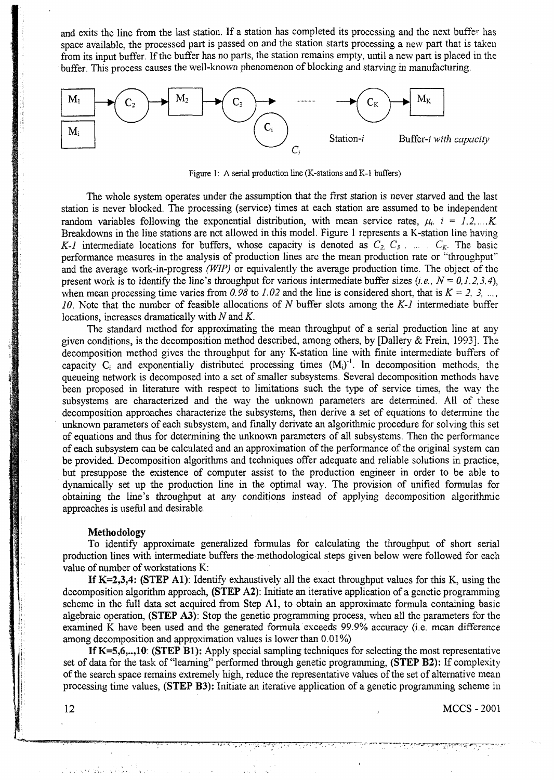and exits the line from the last station. If a station has completed its processing and the next buffer has space available, the processed part is passed on and the station starts processing a new part that is taken from its input buffer. If the buffer has no parts, the station remains empty, until a new part is placed in the buffer. This process causes the well-known phenomenon of blocking and starving in manufacturing.



Figure 1: A serial production line (K-stations and K-1 buffers)

The whole system operates under the assumption that the first station is never starved and the last station is never blocked. The processing (service) times at each station are assumed to be independent random variables following the exponential distribution, with mean service rates,  $\mu_i$ ,  $i = 1, 2, ..., K$ . Breakdowns in the line stations are not allowed in this model. Figure 1 represents a K-station line having *K-l* intermediate locations for buffers, whose capacity is denoted as  $C_2, C_3, \ldots, C_k$ . The basic performance measures in the analysis of production lines arc the mean production rate or ''throughput" and the average work-in-progress *(WIP)* or equivalently the average production time. The object of the present work is to identify the line's throughput for various intermediate buffer sizes  $(i.e., N = 0, 1, 2, 3, 4)$ , when mean processing time varies from 0.98 to 1.02 and the line is considered short, that is  $K = 2, 3, ...$ *10.* Note that the number of feasible allocations of *N* buffer slots among the *K-l* intermediate buffer locations, increases dramatically with *N* and *K.*

The standard method for approximating the mean throughput of a serial production line at any given conditions, is the decomposition method described, among others, by [Dallery & Frein, 1993], The decomposition method gives the throughput for any K-station line with finite intermediate buffers of capacity  $C_i$  and exponentially distributed processing times  $(M_i)^{-1}$ . In decomposition methods, the queueing network is decomposed into a set of smaller subsystems. Several decomposition methods have been proposed in literature with respect to limitations such the type of service times, the way the subsystems are characterized and the way the unknown parameters are determined. All of these decomposition approaches characterize the subsystems, then derive a set of equations to determine the unknown parameters of each subsystem, and finally derivate an algorithmic procedure for solving this set of equations and thus for determining the unknown parameters of all subsystems. Then the performance of each subsystem can be calculated and an approximation of the performance of the original system can be provided. Decomposition algorithms and techniques offer adequate and reliable solutions in practice, but presuppose the existence of computer assist to the production engineer in order to be able to dynamically set up the production line in the optimal way. The provision of unified formulas for obtaining the line's throughput at any conditions instead of applying decomposition algorithmic approaches is useful and desirable.

#### **Methodology**

To identify approximate generalized formulas for calculating the throughput of short serial production lines with intermediate buffers the methodological steps given below were followed for each value of number of workstations K:

**If**  $K=2,3,4$ **: (STEP A1):** Identify exhaustively all the exact throughput values for this K, using the decomposition algorithm approach, (STEP A2): Initiate an iterative application of a genetic programming scheme in the full data set acquired from Step Al, to obtain an approximate formula containing basic algebraic operation, (STEP A3): Stop the genetic programming process, when all the parameters for the examined K have been used and the generated formula exceeds 99.9% accuracy (i.e. mean difference among decomposition and approximation values is lower than 0.01%)

If K=5,6,..,10: (STEP Bl): Apply special sampling techniques for selecting the most representative set of data for the task of "learning" performed through genetic programming, (STEP B2): If complexity of the search space remains extremely high, reduce the representative values of the set of alternative mean processing time values, (STEP B3): Initiate an iterative application of a genetic programming scheme in

**MCCS - 2001** 

12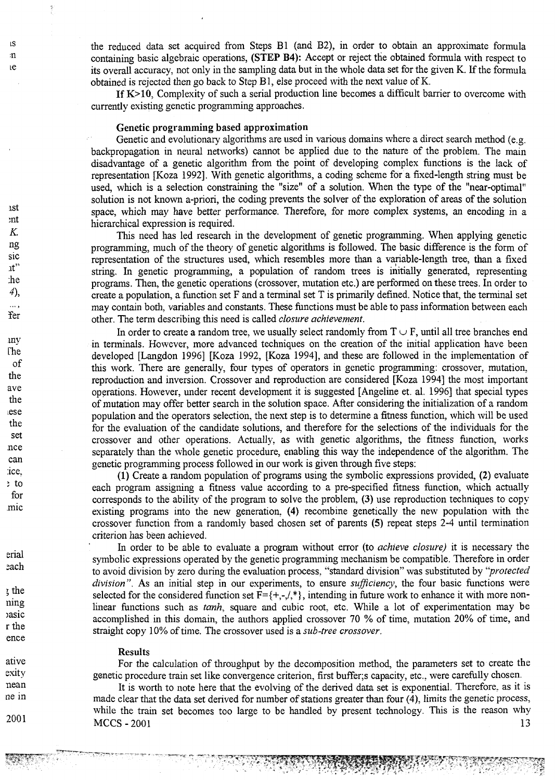the reduced data set acquired from Steps B1 (and B2), in order to obtain an approximate formula containing basic algebraic operations, (STEP B4): Accept or reject the obtained formula with respect to its overall accuracy, not only in the sampling data but in the whole data set for the given K. If the formula obtained is rejected then go back to Step Bl, else proceed with the next value of K.

If K>10, Complexity of such a serial production line becomes a difficult barrier to overcome with currently existing genetic programming approaches.

#### Genetic programming based approximation

Genetic and evolutionary algorithms are used in various domains where a direct search method (e.g. backpropagation in neural networks) cannot be applied due to the nature of the problem. The main disadvantage of a genetic algorithm from the point of developing complex functions is the lack of representation [Koza 1992], With genetic algorithms, a coding scheme for a fixed-length string must be used, which is a selection constraining the "size" of a solution. When the type of the "near-optimal" solution is not known a-priori, the coding prevents the solver of the exploration of areas of the solution space, which may have better performance. Therefore, for more complex systems, an encoding in a hierarchical expression is required.

This need has led research in the development of genetic programming. When applying genetic programming, much of the theory of genetic algorithms is followed. The basic difference is the form of representation of the structures used, which resembles more than a variable-length tree, than a fixed string. In genetic programming, a population of random trees is initially generated, representing programs. Then, the genetic operations (crossover, mutation etc.) are performed on these trees. In order to create a population, a function set F and a terminal set T is primarily defined. Notice that, the terminal set may contain both, variables and constants. These functions must be able to pass information between each other. The term describing this need is called *closure achievement.*

In order to create a random tree, we usually select randomly from  $T \cup F$ , until all tree branches end in terminals. However, more advanced techniques on the creation of the initial application have been developed [Langdon 1996] [Koza 1992, [Koza 1994], and these are followed in the implementation of this work. There are generally, four types of operators in genetic programming: crossover, mutation, reproduction and inversion. Crossover and reproduction are considered [Koza 1994] the most important operations. However, under recent development it is suggested [Angeline et. al. 1996] that special types of mutation may offer better search in the solution space. After considering the initialization of a random population and the operators selection, the next step is to determine a fitness function, which will be used for the evaluation of the candidate solutions, and therefore for the selections of the individuals for the crossover and other operations. Actually, as with genetic algorithms, the fitness function, works separately than the whole genetic procedure, enabling this way the independence of the algorithm. The genetic programming process followed in our work is given through five steps:

(1) Create a random population of programs using the symbolic expressions provided, (2) evaluate each program assigning a fitness value according to a pre-specified fitness function, which actually corresponds to the ability of the program to solve the problem, (3) use reproduction techniques to copy existing programs into the new generation, (4) recombine genetically the new population with the crossover function from a randomly based chosen set of parents (5) repeat steps 2-4 until termination criterion has been achieved.

In order to be able to evaluate a program without error (to *achieve closure)* it is necessary the symbolic expressions operated by the genetic programming mechanism be compatible. Therefore in order to avoid division by zero during the evaluation process, "standard division" was substituted by "*protected division".* As an initial step in our experiments, to ensure *sufficiency,* the four basic functions were selected for the considered function set  $F=\{+, -, /, *\}$ , intending in future work to enhance it with more nonlinear functions such as *tanh,* square and cubic root, etc. While a lot of experimentation may be accomplished in this domain, the authors applied crossover 70 % of time, mutation 20% of time, and straight copy 10% of time. The crossover used is a *sub-tree crossover.*

#### Results

For the calculation of throughput by the decomposition method, the parameters set to create the genetic procedure train set like convergence criterion, first buffer;s capacity, etc., were carefully chosen.

It is worth to note here that the evolving of the derived data set is exponential. Therefore, as it is made clear that the data set derived for number of stations greater than four (4), limits the genetic process, while the train set becomes too large to be handled by present technology. This is the reason why  $MCCS - 2001$  13

; the ning jasic rthe ence

ative exity nean ne in

2001

IS  $\mathbf{n}$ ie

1st :nt *K.* ng sic it" :he *4 \*

¥er

. . . .

my The of the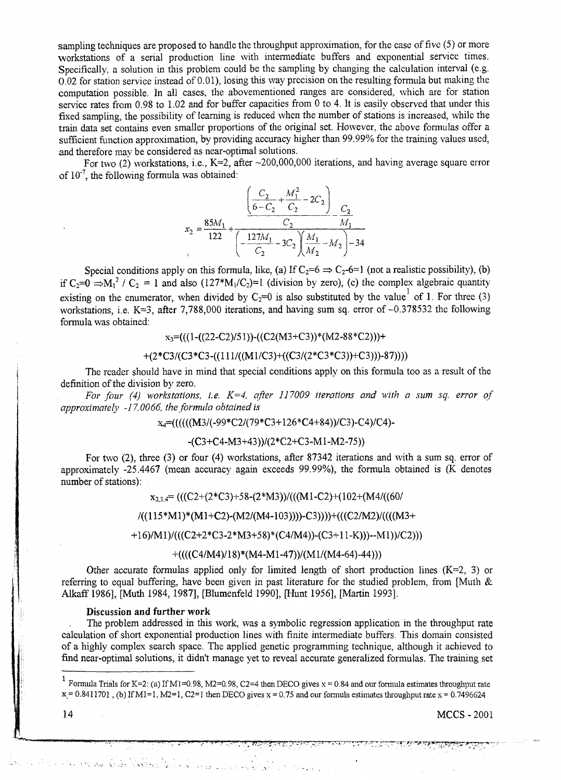sampling techniques are proposed to handle the throughput approximation, for the case of five (5) or more workstations of a serial production line with intermediate buffers and exponential service times. Specifically, a solution in this problem could be the sampling by changing the calculation interval (e.g. 0.02 for station service instead of 0.01), losing this way precision on the resulting formula but making the computation possible. In all cases, the abovementioned ranges are considered, which are for station service rates from 0.98 to 1.02 and for buffer capacities from 0 to 4. It is easily observed that under this fixed sampling, the possibility of learning is reduced when the number of stations is increased, while the train data set contains even smaller proportions of the original set. However, the above formulas offer a sufficient function approximation, by providing accuracy higher than 99.99% for the training values used, and therefore may be considered as near-optimal solutions.

For two (2) workstations, i.e., K=2, after ~200,000,000 iterations, and having average square error of  $10^{-7}$ , the following formula was obtained:

$$
x_2 = \frac{85M_1}{122} + \frac{\left(\frac{C_2}{6 - C_2} + \frac{M_1^2}{C_2} - 2C_2\right)}{\left(-\frac{127M_1}{C_2} - 3C_2\right)\left(\frac{M_1}{M_2} - M_2\right) - 34}
$$

Special conditions apply on this formula, like, (a) If  $C_2=6 \Rightarrow C_2=6=1$  (not a realistic possibility), (b) if C<sub>2</sub>=0  $\Rightarrow$ M<sub>1</sub><sup>2</sup> / C<sub>2</sub> = 1 and also (127<sup>\*</sup>M<sub>1</sub>/C<sub>2</sub>)=1 (division by zero), (c) the complex algebraic quantityexisting on the enumerator, when divided by  $C_2=0$  is also substituted by the value of 1. For three (3) workstations, i.e. K=3, after 7,788,000 iterations, and having sum sq. error of  $-0.378532$  the following formula was obtained:

## $x_3=((1-(22-C2)/51))-(C2(M3+C3))*(M2-88*C2))$

$$
+(2*C3/(C3*C3-((111/((M1/C3)+( (C3/(2*C3)*C3))+C3)))-87))))
$$

The reader should have in mind that special conditions apply on this formula too as a result of the definition of the division by zero.

*For four (4) workstations, i.e. K=4. after 117009 iterations and with a sum sq. error of approximately -17.0066, the formula obtained is*

## X4=((((((M3/(-99\*C2/(79\*C3+126\*C4+84))/C3)-C4)/C4)-

## -(C3+C4-M3+43))/(2\*C2+C3-Ml-M2-75))

For two (2), three (3) or four (4) workstations, after 87342 iterations and with a sum sq. error of approximately -25.4467 (mean accuracy again exceeds 99.99%), the formula obtained is (K denotes number of stations):

 $X_{2,3,4} = (((C2+(2*C3)+58-(2*M3))/(((M1-C2)+(102+(M4)/(60/4))))$ 

## /(( 115 \*M 1 ) \* (M1 +C2)-(M2/(M4-103))))-C3))))+(((C2/M2)/((((M3+

+16)/M1)/(((C2+2\*C3-2\*M3+58)\*(C4/M4))-(C3+11-K)))--M1))/C2)))

#### $+(((C4/M4)/18)*(M4-M1-47))/(M1/(M4-64)-44))$

Other accurate formulas applied only for limited length of short production lines  $(K=2, 3)$  or referring to equal buffering, have been given in past literature for the studied problem, from [Muth & Alkaff 1986], [Muth 1984, 1987], [Blumenfeld 1990], [Hunt 1956], [Martin 1993],

#### Discussion and further work

And the common of the model of the second of the second the second of the second

The problem addressed in this work, was a symbolic regression application in the throughput rate calculation of short exponential production lines with finite intermediate buffers. This domain consisted of a highly complex search space. The applied genetic programming technique, although it achieved to find near-optimal solutions, it didn't manage yet to reveal accurate generalized formulas. The training set

**MCCS - 2001** 

**<sup>1</sup> Formula Trials for K=2: (a) If M l=0.98, M2=0.98, C2=4 then DECO gives x = 0.84 and our formula estimates throughput rate**  $x = 0.8411701$ , (b) If M<sub>1</sub>=1, M<sub>2</sub>=1, C<sub>2</sub>=1 then DECO gives  $x = 0.75$  and our formula estimates throughput rate  $x = 0.7496624$